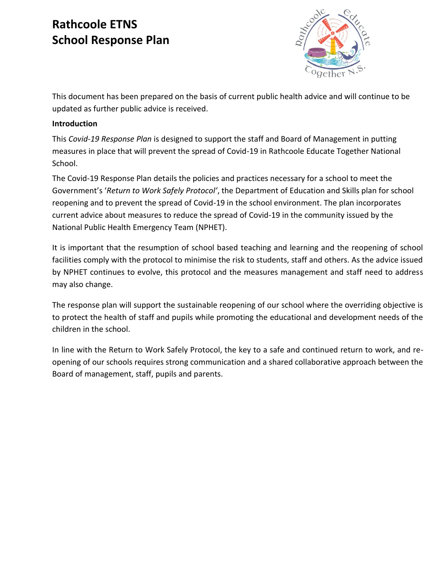# **Rathcoole ETNS School Response Plan**



This document has been prepared on the basis of current public health advice and will continue to be updated as further public advice is received.

## **Introduction**

This *Covid-19 Response Plan* is designed to support the staff and Board of Management in putting measures in place that will prevent the spread of Covid-19 in Rathcoole Educate Together National School.

The Covid-19 Response Plan details the policies and practices necessary for a school to meet the Government's '*Return to Work Safely Protocol'*, the Department of Education and Skills plan for school reopening and to prevent the spread of Covid-19 in the school environment. The plan incorporates current advice about measures to reduce the spread of Covid-19 in the community issued by the National Public Health Emergency Team (NPHET).

It is important that the resumption of school based teaching and learning and the reopening of school facilities comply with the protocol to minimise the risk to students, staff and others. As the advice issued by NPHET continues to evolve, this protocol and the measures management and staff need to address may also change.

The response plan will support the sustainable reopening of our school where the overriding objective is to protect the health of staff and pupils while promoting the educational and development needs of the children in the school.

In line with the Return to Work Safely Protocol, the key to a safe and continued return to work, and reopening of our schools requires strong communication and a shared collaborative approach between the Board of management, staff, pupils and parents.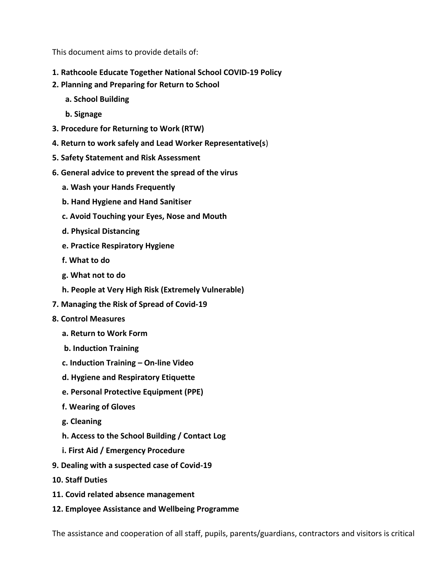This document aims to provide details of:

- **1. Rathcoole Educate Together National School COVID-19 Policy**
- **2. Planning and Preparing for Return to School** 
	- **a. School Building**
	- **b. Signage**
- **3. Procedure for Returning to Work (RTW)**
- **4. Return to work safely and Lead Worker Representative(s**)
- **5. Safety Statement and Risk Assessment**
- **6. General advice to prevent the spread of the virus** 
	- **a. Wash your Hands Frequently**
	- **b. Hand Hygiene and Hand Sanitiser**
	- **c. Avoid Touching your Eyes, Nose and Mouth**
	- **d. Physical Distancing**
	- **e. Practice Respiratory Hygiene**
	- **f. What to do**
	- **g. What not to do**
	- **h. People at Very High Risk (Extremely Vulnerable)**
- **7. Managing the Risk of Spread of Covid-19**
- **8. Control Measures** 
	- **a. Return to Work Form**
	- **b. Induction Training**
	- **c. Induction Training – On-line Video**
	- **d. Hygiene and Respiratory Etiquette**
	- **e. Personal Protective Equipment (PPE)**
	- **f. Wearing of Gloves**
	- **g. Cleaning**
	- **h. Access to the School Building / Contact Log**
	- **i. First Aid / Emergency Procedure**
- **9. Dealing with a suspected case of Covid-19**
- **10. Staff Duties**
- **11. Covid related absence management**
- **12. Employee Assistance and Wellbeing Programme**

The assistance and cooperation of all staff, pupils, parents/guardians, contractors and visitors is critical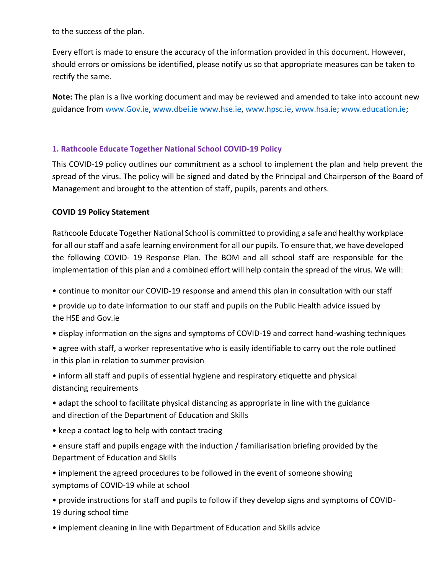to the success of the plan.

Every effort is made to ensure the accuracy of the information provided in this document. However, should errors or omissions be identified, please notify us so that appropriate measures can be taken to rectify the same.

**Note:** The plan is a live working document and may be reviewed and amended to take into account new guidance from www.Gov.ie, www.dbei.ie www.hse.ie, www.hpsc.ie, www.hsa.ie; www.education.ie;

#### **1. Rathcoole Educate Together National School COVID-19 Policy**

This COVID-19 policy outlines our commitment as a school to implement the plan and help prevent the spread of the virus. The policy will be signed and dated by the Principal and Chairperson of the Board of Management and brought to the attention of staff, pupils, parents and others.

#### **COVID 19 Policy Statement**

Rathcoole Educate Together National School is committed to providing a safe and healthy workplace for all our staff and a safe learning environment for all our pupils. To ensure that, we have developed the following COVID- 19 Response Plan. The BOM and all school staff are responsible for the implementation of this plan and a combined effort will help contain the spread of the virus. We will:

• continue to monitor our COVID-19 response and amend this plan in consultation with our staff

• provide up to date information to our staff and pupils on the Public Health advice issued by the HSE and Gov.ie

- display information on the signs and symptoms of COVID-19 and correct hand-washing techniques
- agree with staff, a worker representative who is easily identifiable to carry out the role outlined in this plan in relation to summer provision
- inform all staff and pupils of essential hygiene and respiratory etiquette and physical distancing requirements
- adapt the school to facilitate physical distancing as appropriate in line with the guidance and direction of the Department of Education and Skills
- keep a contact log to help with contact tracing
- ensure staff and pupils engage with the induction / familiarisation briefing provided by the Department of Education and Skills
- implement the agreed procedures to be followed in the event of someone showing symptoms of COVID-19 while at school
- provide instructions for staff and pupils to follow if they develop signs and symptoms of COVID-19 during school time
- implement cleaning in line with Department of Education and Skills advice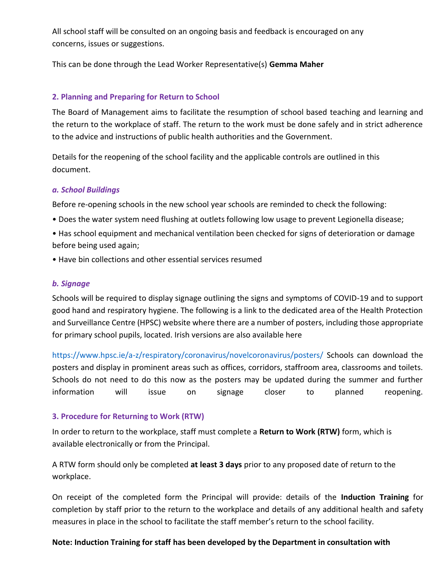All school staff will be consulted on an ongoing basis and feedback is encouraged on any concerns, issues or suggestions.

This can be done through the Lead Worker Representative(s) **Gemma Maher** 

#### **2. Planning and Preparing for Return to School**

The Board of Management aims to facilitate the resumption of school based teaching and learning and the return to the workplace of staff. The return to the work must be done safely and in strict adherence to the advice and instructions of public health authorities and the Government.

Details for the reopening of the school facility and the applicable controls are outlined in this document.

#### *a. School Buildings*

Before re-opening schools in the new school year schools are reminded to check the following:

• Does the water system need flushing at outlets following low usage to prevent Legionella disease;

• Has school equipment and mechanical ventilation been checked for signs of deterioration or damage before being used again;

• Have bin collections and other essential services resumed

#### *b. Signage*

Schools will be required to display signage outlining the signs and symptoms of COVID-19 and to support good hand and respiratory hygiene. The following is a link to the dedicated area of the Health Protection and Surveillance Centre (HPSC) website where there are a number of posters, including those appropriate for primary school pupils, located. Irish versions are also available here

https://www.hpsc.ie/a-z/respiratory/coronavirus/novelcoronavirus/posters/ Schools can download the posters and display in prominent areas such as offices, corridors, staffroom area, classrooms and toilets. Schools do not need to do this now as the posters may be updated during the summer and further information will issue on signage closer to planned reopening.

#### **3. Procedure for Returning to Work (RTW)**

In order to return to the workplace, staff must complete a **Return to Work (RTW)** form, which is available electronically or from the Principal.

A RTW form should only be completed **at least 3 days** prior to any proposed date of return to the workplace.

On receipt of the completed form the Principal will provide: details of the **Induction Training** for completion by staff prior to the return to the workplace and details of any additional health and safety measures in place in the school to facilitate the staff member's return to the school facility.

## **Note: Induction Training for staff has been developed by the Department in consultation with**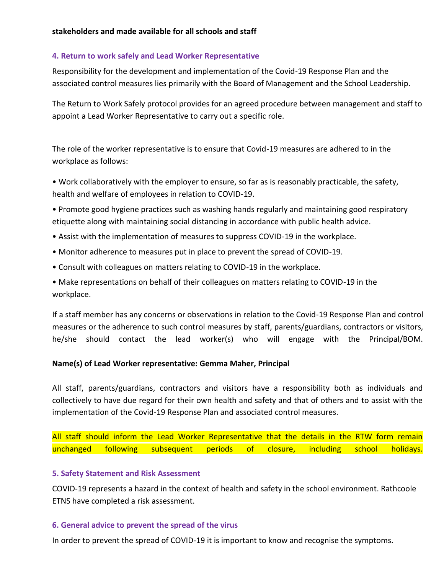## **4. Return to work safely and Lead Worker Representative**

Responsibility for the development and implementation of the Covid-19 Response Plan and the associated control measures lies primarily with the Board of Management and the School Leadership.

The Return to Work Safely protocol provides for an agreed procedure between management and staff to appoint a Lead Worker Representative to carry out a specific role.

The role of the worker representative is to ensure that Covid-19 measures are adhered to in the workplace as follows:

• Work collaboratively with the employer to ensure, so far as is reasonably practicable, the safety, health and welfare of employees in relation to COVID-19.

• Promote good hygiene practices such as washing hands regularly and maintaining good respiratory etiquette along with maintaining social distancing in accordance with public health advice.

- Assist with the implementation of measures to suppress COVID-19 in the workplace.
- Monitor adherence to measures put in place to prevent the spread of COVID-19.
- Consult with colleagues on matters relating to COVID-19 in the workplace.

• Make representations on behalf of their colleagues on matters relating to COVID-19 in the workplace.

If a staff member has any concerns or observations in relation to the Covid-19 Response Plan and control measures or the adherence to such control measures by staff, parents/guardians, contractors or visitors, he/she should contact the lead worker(s) who will engage with the Principal/BOM.

## **Name(s) of Lead Worker representative: Gemma Maher, Principal**

All staff, parents/guardians, contractors and visitors have a responsibility both as individuals and collectively to have due regard for their own health and safety and that of others and to assist with the implementation of the Covid-19 Response Plan and associated control measures.

All staff should inform the Lead Worker Representative that the details in the RTW form remain unchanged following subsequent periods of closure, including school holidays.

## **5. Safety Statement and Risk Assessment**

COVID-19 represents a hazard in the context of health and safety in the school environment. Rathcoole ETNS have completed a risk assessment.

## **6. General advice to prevent the spread of the virus**

In order to prevent the spread of COVID-19 it is important to know and recognise the symptoms.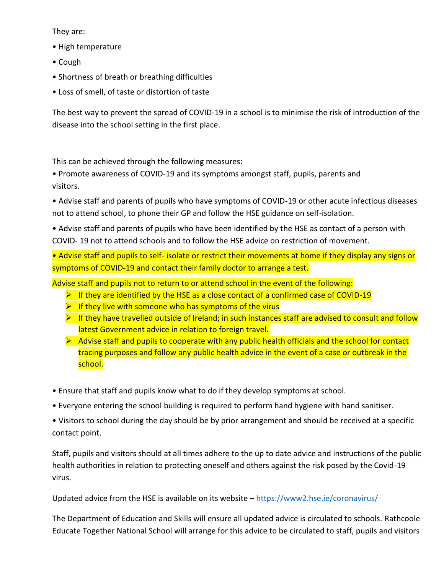They are:

- High temperature
- Cough
- Shortness of breath or breathing difficulties
- Loss of smell, of taste or distortion of taste

The best way to prevent the spread of COVID-19 in a school is to minimise the risk of introduction of the disease into the school setting in the first place.

This can be achieved through the following measures:

• Promote awareness of COVID-19 and its symptoms amongst staff, pupils, parents and visitors.

• Advise staff and parents of pupils who have symptoms of COVID-19 or other acute infectious diseases not to attend school, to phone their GP and follow the HSE guidance on self-isolation.

• Advise staff and parents of pupils who have been identified by the HSE as contact of a person with COVID- 19 not to attend schools and to follow the HSE advice on restriction of movement.

• Advise staff and pupils to self- isolate or restrict their movements at home if they display any signs or symptoms of COVID-19 and contact their family doctor to arrange a test.

Advise staff and pupils not to return to or attend school in the event of the following:

- $\triangleright$  If they are identified by the HSE as a close contact of a confirmed case of COVID-19
- $\triangleright$  If they live with someone who has symptoms of the virus
- $\triangleright$  If they have travelled outside of Ireland; in such instances staff are advised to consult and follow latest Government advice in relation to foreign travel.
- $\triangleright$  Advise staff and pupils to cooperate with any public health officials and the school for contact tracing purposes and follow any public health advice in the event of a case or outbreak in the school.
- Ensure that staff and pupils know what to do if they develop symptoms at school.
- Everyone entering the school building is required to perform hand hygiene with hand sanitiser.
- Visitors to school during the day should be by prior arrangement and should be received at a specific contact point.

Staff, pupils and visitors should at all times adhere to the up to date advice and instructions of the public health authorities in relation to protecting oneself and others against the risk posed by the Covid-19 virus.

Updated advice from the HSE is available on its website – https://www2.hse.ie/coronavirus/

The Department of Education and Skills will ensure all updated advice is circulated to schools. Rathcoole Educate Together National School will arrange for this advice to be circulated to staff, pupils and visitors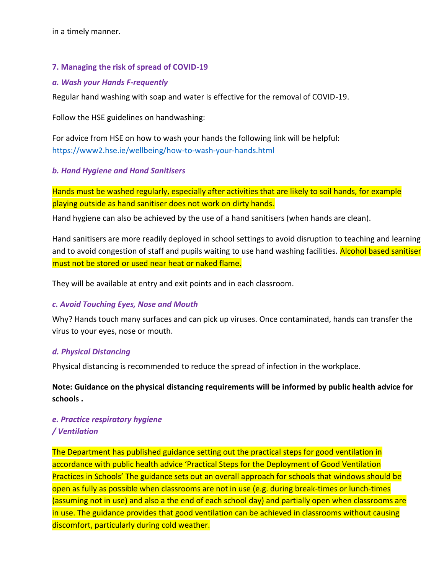in a timely manner.

#### **7. Managing the risk of spread of COVID-19**

#### *a. Wash your Hands F-requently*

Regular hand washing with soap and water is effective for the removal of COVID-19.

Follow the HSE guidelines on handwashing:

For advice from HSE on how to wash your hands the following link will be helpful: https://www2.hse.ie/wellbeing/how-to-wash-your-hands.html

#### *b. Hand Hygiene and Hand Sanitisers*

Hands must be washed regularly, especially after activities that are likely to soil hands, for example playing outside as hand sanitiser does not work on dirty hands.

Hand hygiene can also be achieved by the use of a hand sanitisers (when hands are clean).

Hand sanitisers are more readily deployed in school settings to avoid disruption to teaching and learning and to avoid congestion of staff and pupils waiting to use hand washing facilities. Alcohol based sanitiser must not be stored or used near heat or naked flame.

They will be available at entry and exit points and in each classroom.

#### *c. Avoid Touching Eyes, Nose and Mouth*

Why? Hands touch many surfaces and can pick up viruses. Once contaminated, hands can transfer the virus to your eyes, nose or mouth.

#### *d. Physical Distancing*

Physical distancing is recommended to reduce the spread of infection in the workplace.

**Note: Guidance on the physical distancing requirements will be informed by public health advice for schools .**

#### *e. Practice respiratory hygiene / Ventilation*

The Department has published guidance setting out the practical steps for good ventilation in accordance with public health advice 'Practical Steps for the Deployment of Good Ventilation Practices in Schools' The guidance sets out an overall approach for schools that windows should be open as fully as possible when classrooms are not in use (e.g. during break-times or lunch-times (assuming not in use) and also a the end of each school day) and partially open when classrooms are in use. The guidance provides that good ventilation can be achieved in classrooms without causing discomfort, particularly during cold weather.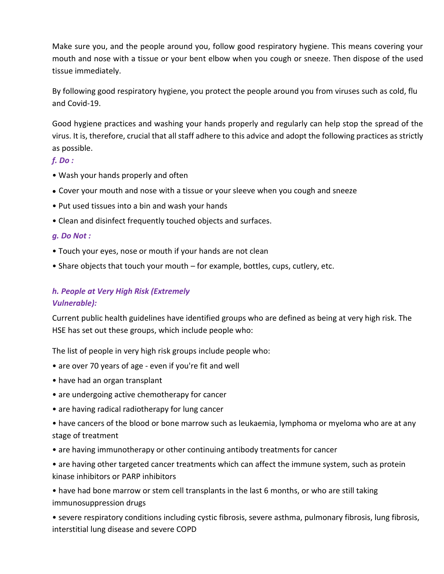Make sure you, and the people around you, follow good respiratory hygiene. This means covering your mouth and nose with a tissue or your bent elbow when you cough or sneeze. Then dispose of the used tissue immediately.

By following good respiratory hygiene, you protect the people around you from viruses such as cold, flu and Covid-19.

Good hygiene practices and washing your hands properly and regularly can help stop the spread of the virus. It is, therefore, crucial that all staff adhere to this advice and adopt the following practices as strictly as possible.

## *f. Do :*

- Wash your hands properly and often
- Cover your mouth and nose with a tissue or your sleeve when you cough and sneeze
- Put used tissues into a bin and wash your hands
- Clean and disinfect frequently touched objects and surfaces.

#### *g. Do Not :*

- Touch your eyes, nose or mouth if your hands are not clean
- Share objects that touch your mouth for example, bottles, cups, cutlery, etc.

# *h. People at Very High Risk (Extremely Vulnerable):*

Current public health guidelines have identified groups who are defined as being at very high risk. The HSE has set out these groups, which include people who:

The list of people in very high risk groups include people who:

- are over 70 years of age even if you're fit and well
- have had an organ transplant
- are undergoing active chemotherapy for cancer
- are having radical radiotherapy for lung cancer
- have cancers of the blood or bone marrow such as leukaemia, lymphoma or myeloma who are at any stage of treatment
- are having immunotherapy or other continuing antibody treatments for cancer
- are having other targeted cancer treatments which can affect the immune system, such as protein kinase inhibitors or PARP inhibitors

• have had bone marrow or stem cell transplants in the last 6 months, or who are still taking immunosuppression drugs

• severe respiratory conditions including cystic fibrosis, severe asthma, pulmonary fibrosis, lung fibrosis, interstitial lung disease and severe COPD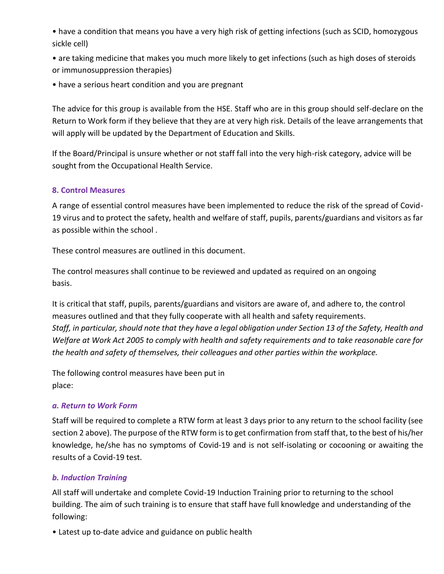• have a condition that means you have a very high risk of getting infections (such as SCID, homozygous sickle cell)

• are taking medicine that makes you much more likely to get infections (such as high doses of steroids or immunosuppression therapies)

• have a serious heart condition and you are pregnant

The advice for this group is available from the HSE. Staff who are in this group should self-declare on the Return to Work form if they believe that they are at very high risk. Details of the leave arrangements that will apply will be updated by the Department of Education and Skills.

If the Board/Principal is unsure whether or not staff fall into the very high-risk category, advice will be sought from the Occupational Health Service.

## **8. Control Measures**

A range of essential control measures have been implemented to reduce the risk of the spread of Covid-19 virus and to protect the safety, health and welfare of staff, pupils, parents/guardians and visitors as far as possible within the school .

These control measures are outlined in this document.

The control measures shall continue to be reviewed and updated as required on an ongoing basis.

It is critical that staff, pupils, parents/guardians and visitors are aware of, and adhere to, the control measures outlined and that they fully cooperate with all health and safety requirements. *Staff, in particular, should note that they have a legal obligation under Section 13 of the Safety, Health and Welfare at Work Act 2005 to comply with health and safety requirements and to take reasonable care for the health and safety of themselves, their colleagues and other parties within the workplace.* 

The following control measures have been put in place:

## *a. Return to Work Form*

Staff will be required to complete a RTW form at least 3 days prior to any return to the school facility (see section 2 above). The purpose of the RTW form is to get confirmation from staff that, to the best of his/her knowledge, he/she has no symptoms of Covid-19 and is not self-isolating or cocooning or awaiting the results of a Covid-19 test.

# *b. Induction Training*

All staff will undertake and complete Covid-19 Induction Training prior to returning to the school building. The aim of such training is to ensure that staff have full knowledge and understanding of the following:

• Latest up to-date advice and guidance on public health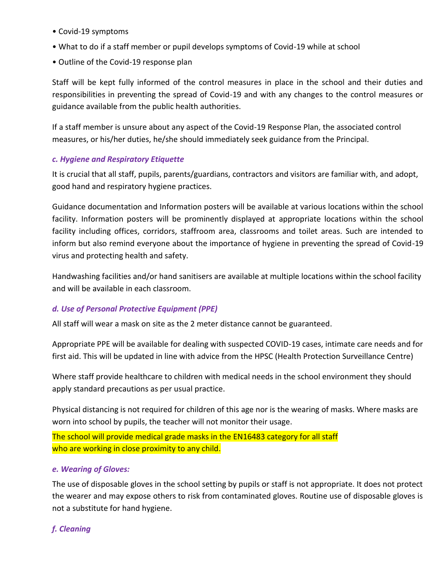- Covid-19 symptoms
- What to do if a staff member or pupil develops symptoms of Covid-19 while at school
- Outline of the Covid-19 response plan

Staff will be kept fully informed of the control measures in place in the school and their duties and responsibilities in preventing the spread of Covid-19 and with any changes to the control measures or guidance available from the public health authorities.

If a staff member is unsure about any aspect of the Covid-19 Response Plan, the associated control measures, or his/her duties, he/she should immediately seek guidance from the Principal.

#### *c. Hygiene and Respiratory Etiquette*

It is crucial that all staff, pupils, parents/guardians, contractors and visitors are familiar with, and adopt, good hand and respiratory hygiene practices.

Guidance documentation and Information posters will be available at various locations within the school facility. Information posters will be prominently displayed at appropriate locations within the school facility including offices, corridors, staffroom area, classrooms and toilet areas. Such are intended to inform but also remind everyone about the importance of hygiene in preventing the spread of Covid-19 virus and protecting health and safety.

Handwashing facilities and/or hand sanitisers are available at multiple locations within the school facility and will be available in each classroom.

## *d. Use of Personal Protective Equipment (PPE)*

All staff will wear a mask on site as the 2 meter distance cannot be guaranteed.

Appropriate PPE will be available for dealing with suspected COVID-19 cases, intimate care needs and for first aid. This will be updated in line with advice from the HPSC (Health Protection Surveillance Centre)

Where staff provide healthcare to children with medical needs in the school environment they should apply standard precautions as per usual practice.

Physical distancing is not required for children of this age nor is the wearing of masks. Where masks are worn into school by pupils, the teacher will not monitor their usage.

The school will provide medical grade masks in the EN16483 category for all staff who are working in close proximity to any child.

#### *e. Wearing of Gloves:*

The use of disposable gloves in the school setting by pupils or staff is not appropriate. It does not protect the wearer and may expose others to risk from contaminated gloves. Routine use of disposable gloves is not a substitute for hand hygiene.

# *f. Cleaning*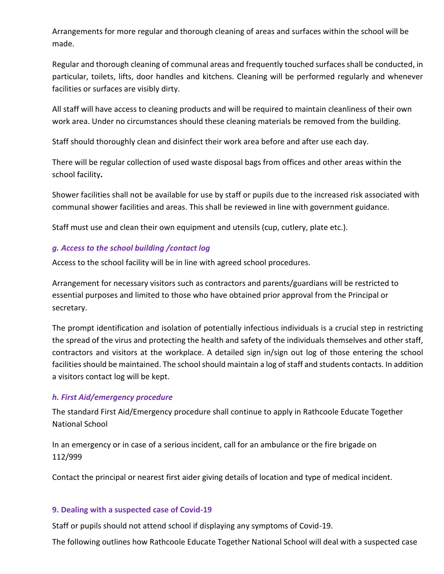Arrangements for more regular and thorough cleaning of areas and surfaces within the school will be made.

Regular and thorough cleaning of communal areas and frequently touched surfaces shall be conducted, in particular, toilets, lifts, door handles and kitchens. Cleaning will be performed regularly and whenever facilities or surfaces are visibly dirty.

All staff will have access to cleaning products and will be required to maintain cleanliness of their own work area. Under no circumstances should these cleaning materials be removed from the building.

Staff should thoroughly clean and disinfect their work area before and after use each day.

There will be regular collection of used waste disposal bags from offices and other areas within the school facility**.** 

Shower facilities shall not be available for use by staff or pupils due to the increased risk associated with communal shower facilities and areas. This shall be reviewed in line with government guidance.

Staff must use and clean their own equipment and utensils (cup, cutlery, plate etc.).

## *g. Access to the school building /contact log*

Access to the school facility will be in line with agreed school procedures.

Arrangement for necessary visitors such as contractors and parents/guardians will be restricted to essential purposes and limited to those who have obtained prior approval from the Principal or secretary.

The prompt identification and isolation of potentially infectious individuals is a crucial step in restricting the spread of the virus and protecting the health and safety of the individuals themselves and other staff, contractors and visitors at the workplace. A detailed sign in/sign out log of those entering the school facilities should be maintained. The school should maintain a log of staff and students contacts. In addition a visitors contact log will be kept.

## *h. First Aid/emergency procedure*

The standard First Aid/Emergency procedure shall continue to apply in Rathcoole Educate Together National School

In an emergency or in case of a serious incident, call for an ambulance or the fire brigade on 112/999

Contact the principal or nearest first aider giving details of location and type of medical incident.

## **9. Dealing with a suspected case of Covid-19**

Staff or pupils should not attend school if displaying any symptoms of Covid-19.

The following outlines how Rathcoole Educate Together National School will deal with a suspected case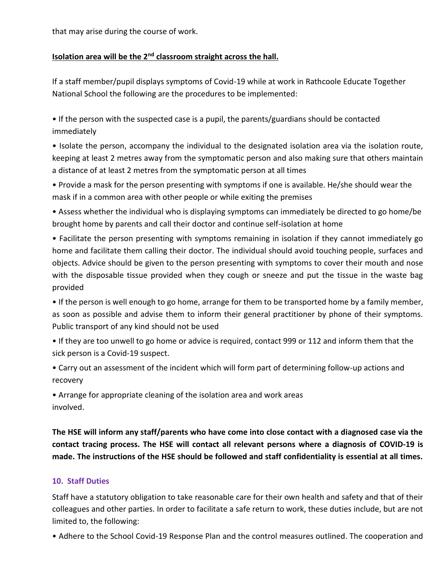that may arise during the course of work.

## **Isolation area will be the 2nd classroom straight across the hall.**

If a staff member/pupil displays symptoms of Covid-19 while at work in Rathcoole Educate Together National School the following are the procedures to be implemented:

• If the person with the suspected case is a pupil, the parents/guardians should be contacted immediately

• Isolate the person, accompany the individual to the designated isolation area via the isolation route, keeping at least 2 metres away from the symptomatic person and also making sure that others maintain a distance of at least 2 metres from the symptomatic person at all times

• Provide a mask for the person presenting with symptoms if one is available. He/she should wear the mask if in a common area with other people or while exiting the premises

• Assess whether the individual who is displaying symptoms can immediately be directed to go home/be brought home by parents and call their doctor and continue self-isolation at home

• Facilitate the person presenting with symptoms remaining in isolation if they cannot immediately go home and facilitate them calling their doctor. The individual should avoid touching people, surfaces and objects. Advice should be given to the person presenting with symptoms to cover their mouth and nose with the disposable tissue provided when they cough or sneeze and put the tissue in the waste bag provided

• If the person is well enough to go home, arrange for them to be transported home by a family member, as soon as possible and advise them to inform their general practitioner by phone of their symptoms. Public transport of any kind should not be used

• If they are too unwell to go home or advice is required, contact 999 or 112 and inform them that the sick person is a Covid-19 suspect.

• Carry out an assessment of the incident which will form part of determining follow-up actions and recovery

• Arrange for appropriate cleaning of the isolation area and work areas involved.

**The HSE will inform any staff/parents who have come into close contact with a diagnosed case via the contact tracing process. The HSE will contact all relevant persons where a diagnosis of COVID-19 is made. The instructions of the HSE should be followed and staff confidentiality is essential at all times.** 

## **10. Staff Duties**

Staff have a statutory obligation to take reasonable care for their own health and safety and that of their colleagues and other parties. In order to facilitate a safe return to work, these duties include, but are not limited to, the following:

• Adhere to the School Covid-19 Response Plan and the control measures outlined. The cooperation and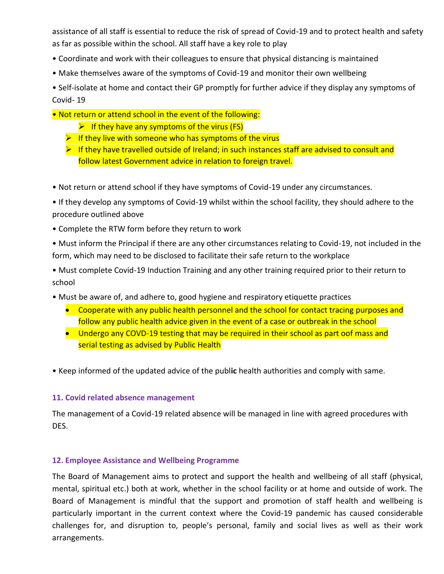assistance of all staff is essential to reduce the risk of spread of Covid-19 and to protect health and safety as far as possible within the school. All staff have a key role to play

- Coordinate and work with their colleagues to ensure that physical distancing is maintained
- Make themselves aware of the symptoms of Covid-19 and monitor their own wellbeing

• Self-isolate at home and contact their GP promptly for further advice if they display any symptoms of Covid- 19

- Not return or attend school in the event of the following:
	- $\triangleright$  If they have any symptoms of the virus (FS)
	- $\triangleright$  If they live with someone who has symptoms of the virus
	- ➢ If they have travelled outside of Ireland; in such instances staff are advised to consult and follow latest Government advice in relation to foreign travel.
- Not return or attend school if they have symptoms of Covid-19 under any circumstances.

• If they develop any symptoms of Covid-19 whilst within the school facility, they should adhere to the procedure outlined above

• Complete the RTW form before they return to work

• Must inform the Principal if there are any other circumstances relating to Covid-19, not included in the form, which may need to be disclosed to facilitate their safe return to the workplace

• Must complete Covid-19 Induction Training and any other training required prior to their return to school

- Must be aware of, and adhere to, good hygiene and respiratory etiquette practices
	- Cooperate with any public health personnel and the school for contact tracing purposes and follow any public health advice given in the event of a case or outbreak in the school
	- Undergo any COVD-19 testing that may be required in their school as part oof mass and serial testing as advised by Public Health

• Keep informed of the updated advice of the publ**ic** health authorities and comply with same.

## **11. Covid related absence management**

The management of a Covid-19 related absence will be managed in line with agreed procedures with DES.

## **12. Employee Assistance and Wellbeing Programme**

The Board of Management aims to protect and support the health and wellbeing of all staff (physical, mental, spiritual etc.) both at work, whether in the school facility or at home and outside of work. The Board of Management is mindful that the support and promotion of staff health and wellbeing is particularly important in the current context where the Covid-19 pandemic has caused considerable challenges for, and disruption to, people's personal, family and social lives as well as their work arrangements.